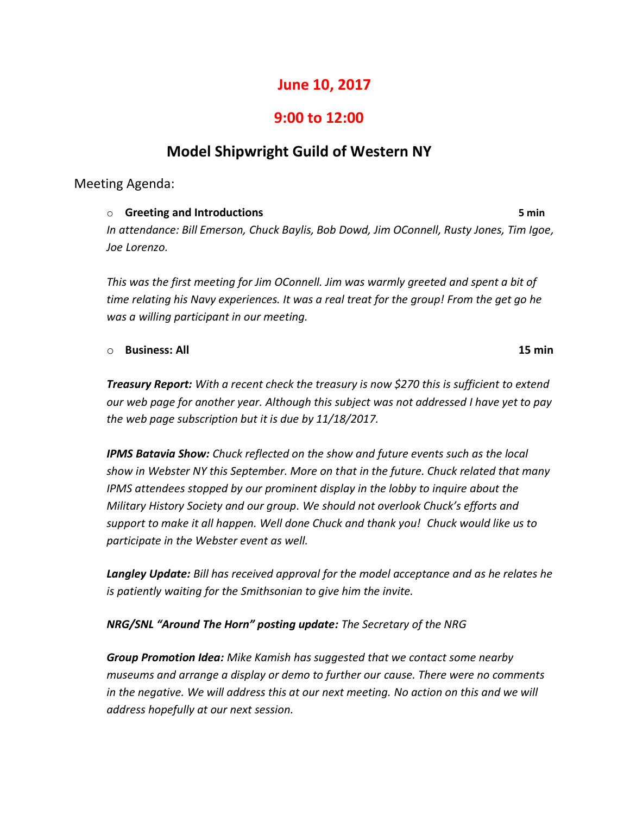# **June 10, 2017**

# **9:00 to 12:00**

# **Model Shipwright Guild of Western NY**

## Meeting Agenda:

o **Greeting and Introductions 5 min** *In attendance: Bill Emerson, Chuck Baylis, Bob Dowd, Jim OConnell, Rusty Jones, Tim Igoe, Joe Lorenzo.*

*This was the first meeting for Jim OConnell. Jim was warmly greeted and spent a bit of time relating his Navy experiences. It was a real treat for the group! From the get go he was a willing participant in our meeting.*

#### o **Business: All 15 min**

*Treasury Report: With a recent check the treasury is now \$270 this is sufficient to extend our web page for another year. Although this subject was not addressed I have yet to pay the web page subscription but it is due by 11/18/2017.*

*IPMS Batavia Show: Chuck reflected on the show and future events such as the local show in Webster NY this September. More on that in the future. Chuck related that many IPMS attendees stopped by our prominent display in the lobby to inquire about the Military History Society and our group. We should not overlook Chuck's efforts and support to make it all happen. Well done Chuck and thank you! Chuck would like us to participate in the Webster event as well.*

*Langley Update: Bill has received approval for the model acceptance and as he relates he is patiently waiting for the Smithsonian to give him the invite.*

*NRG/SNL "Around The Horn" posting update: The Secretary of the NRG* 

*Group Promotion Idea: Mike Kamish has suggested that we contact some nearby museums and arrange a display or demo to further our cause. There were no comments in the negative. We will address this at our next meeting. No action on this and we will address hopefully at our next session.*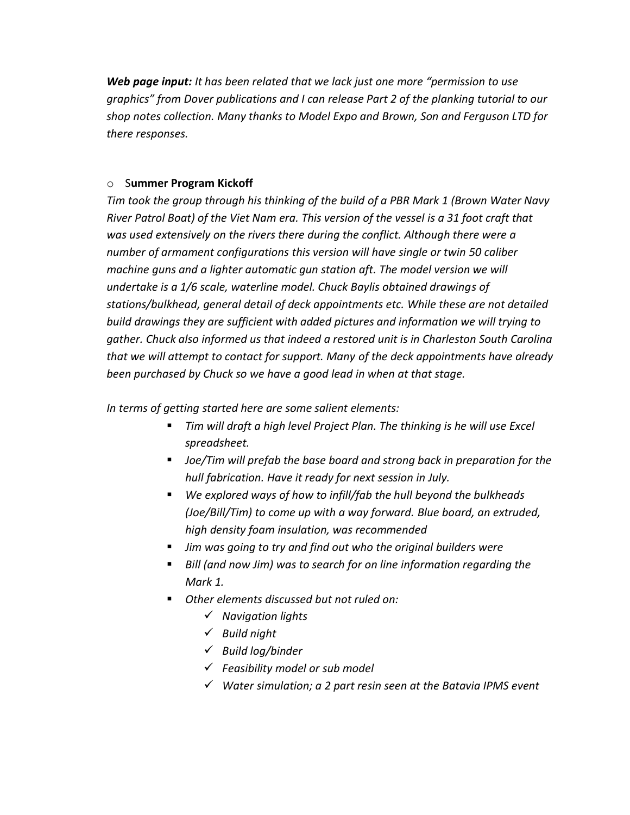*Web page input: It has been related that we lack just one more "permission to use graphics" from Dover publications and I can release Part 2 of the planking tutorial to our shop notes collection. Many thanks to Model Expo and Brown, Son and Ferguson LTD for there responses.*

### o S**ummer Program Kickoff**

*Tim took the group through his thinking of the build of a PBR Mark 1 (Brown Water Navy River Patrol Boat) of the Viet Nam era. This version of the vessel is a 31 foot craft that was used extensively on the rivers there during the conflict. Although there were a number of armament configurations this version will have single or twin 50 caliber machine guns and a lighter automatic gun station aft. The model version we will undertake is a 1/6 scale, waterline model. Chuck Baylis obtained drawings of stations/bulkhead, general detail of deck appointments etc. While these are not detailed build drawings they are sufficient with added pictures and information we will trying to gather. Chuck also informed us that indeed a restored unit is in Charleston South Carolina that we will attempt to contact for support. Many of the deck appointments have already been purchased by Chuck so we have a good lead in when at that stage.*

*In terms of getting started here are some salient elements:*

- *Tim will draft a high level Project Plan. The thinking is he will use Excel spreadsheet.*
- *Joe/Tim will prefab the base board and strong back in preparation for the hull fabrication. Have it ready for next session in July.*
- *We explored ways of how to infill/fab the hull beyond the bulkheads (Joe/Bill/Tim) to come up with a way forward. Blue board, an extruded, high density foam insulation, was recommended*
- Jim was going to try and find out who the original builders were
- *Bill (and now Jim) was to search for on line information regarding the Mark 1.*
- *Other elements discussed but not ruled on:*
	- ✓ *Navigation lights*
	- ✓ *Build night*
	- ✓ *Build log/binder*
	- ✓ *Feasibility model or sub model*
	- ✓ *Water simulation; a 2 part resin seen at the Batavia IPMS event*